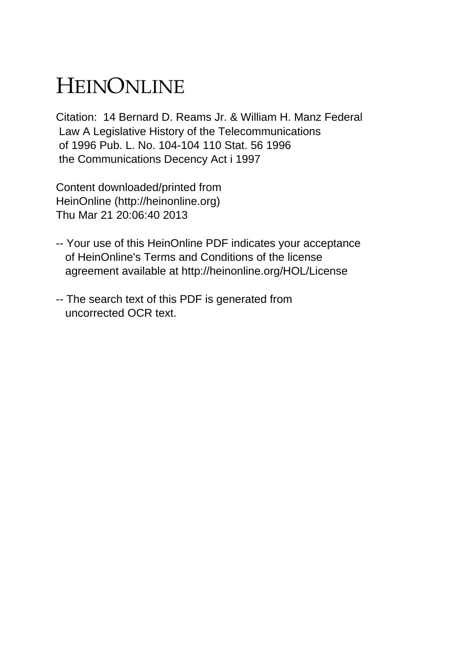# HEINONLINE

Citation: 14 Bernard D. Reams Jr. & William H. Manz Federal Law A Legislative History of the Telecommunications of 1996 Pub. L. No. 104-104 110 Stat. 56 1996 the Communications Decency Act i 1997

Content downloaded/printed from HeinOnline (http://heinonline.org) Thu Mar 21 20:06:40 2013

- -- Your use of this HeinOnline PDF indicates your acceptance of HeinOnline's Terms and Conditions of the license agreement available at http://heinonline.org/HOL/License
- -- The search text of this PDF is generated from uncorrected OCR text.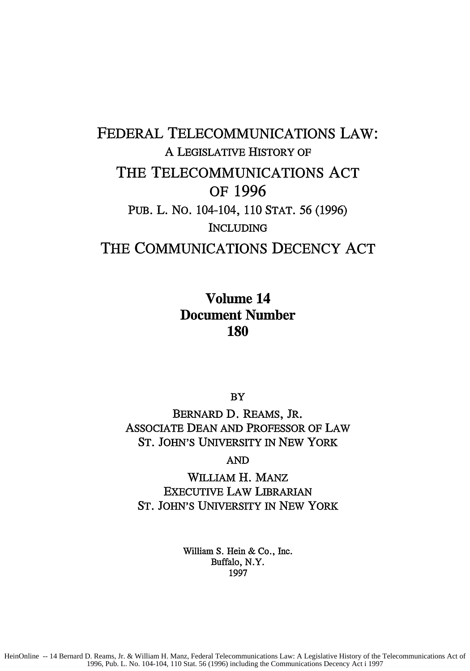## FEDERAL TELECOMMUNICATIONS LAW: A LEGISLATIVE HISTORY OF THE TELECOMMUNICATIONS **ACT** OF **1996** PUB. L. NO. 104-104, 110 STAT. 56 (1996) INCLUDING THE COMMUNICATIONS **DECENCY ACT**

### Volume 14 Document Number **180**

BY

BERNARD **D.** REAMS, JR. ASSOCIATE DEAN AND PROFESSOR OF LAW ST. JOHN'S UNIVERSITY IN NEW YORK

AND

WILLIAM H. MANz EXECUTIVE LAW LIBRARIAN ST. JOHN'S UNIVERSITY IN NEW YORK

> William S. Hein & Co., Inc. Buffalo, N.Y. 1997